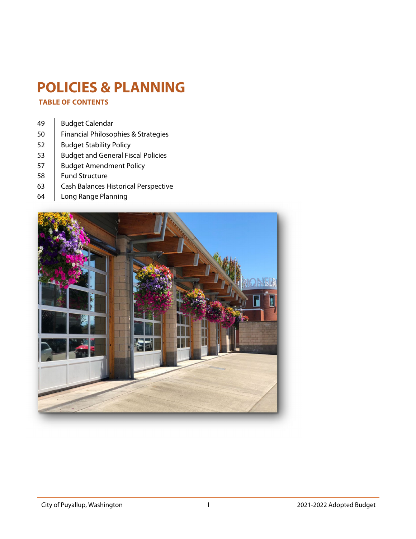### **POLICIES & PLANNING**

 **TABLE OF CONTENTS** 

- 49 | Budget Calendar
- [50 Financial Philosophies & Strategies](#page-2-0)
- 52 | Budget Stability Policy
- 53 | Budget and General Fiscal Policies
- 57 | Budget Amendment Policy
- 58 | Fund Structure
- 63 | Cash Balances Historical Perspective
- [64 Long Range Planning](#page-16-0)

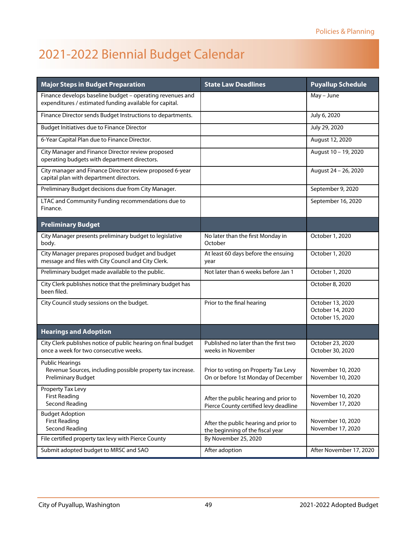### <span id="page-1-0"></span>2021-2022 Biennial Budget Calendar

| <b>Major Steps in Budget Preparation</b>                                                                             | <b>State Law Deadlines</b>                                                     | <b>Puyallup Schedule</b>                                 |
|----------------------------------------------------------------------------------------------------------------------|--------------------------------------------------------------------------------|----------------------------------------------------------|
| Finance develops baseline budget - operating revenues and<br>expenditures / estimated funding available for capital. |                                                                                | May - June                                               |
| Finance Director sends Budget Instructions to departments.                                                           |                                                                                | July 6, 2020                                             |
| <b>Budget Initiatives due to Finance Director</b>                                                                    |                                                                                | July 29, 2020                                            |
| 6-Year Capital Plan due to Finance Director.                                                                         |                                                                                | August 12, 2020                                          |
| City Manager and Finance Director review proposed<br>operating budgets with department directors.                    |                                                                                | August 10 - 19, 2020                                     |
| City manager and Finance Director review proposed 6-year<br>capital plan with department directors.                  |                                                                                | August 24 - 26, 2020                                     |
| Preliminary Budget decisions due from City Manager.                                                                  |                                                                                | September 9, 2020                                        |
| LTAC and Community Funding recommendations due to<br>Finance.                                                        |                                                                                | September 16, 2020                                       |
| <b>Preliminary Budget</b>                                                                                            |                                                                                |                                                          |
| City Manager presents preliminary budget to legislative<br>body.                                                     | No later than the first Monday in<br>October                                   | October 1, 2020                                          |
| City Manager prepares proposed budget and budget<br>message and files with City Council and City Clerk.              | At least 60 days before the ensuing<br>year                                    | October 1, 2020                                          |
| Preliminary budget made available to the public.                                                                     | Not later than 6 weeks before Jan 1                                            | October 1, 2020                                          |
| City Clerk publishes notice that the preliminary budget has<br>been filed.                                           |                                                                                | October 8, 2020                                          |
| City Council study sessions on the budget.                                                                           | Prior to the final hearing                                                     | October 13, 2020<br>October 14, 2020<br>October 15, 2020 |
| <b>Hearings and Adoption</b>                                                                                         |                                                                                |                                                          |
| City Clerk publishes notice of public hearing on final budget<br>once a week for two consecutive weeks.              | Published no later than the first two<br>weeks in November                     | October 23, 2020<br>October 30, 2020                     |
| <b>Public Hearings</b><br>Revenue Sources, including possible property tax increase.<br><b>Preliminary Budget</b>    | Prior to voting on Property Tax Levy<br>On or before 1st Monday of December    | November 10, 2020<br>November 10, 2020                   |
| Property Tax Levy<br><b>First Reading</b><br>Second Reading                                                          | After the public hearing and prior to<br>Pierce County certified levy deadline | November 10, 2020<br>November 17, 2020                   |
| <b>Budget Adoption</b><br><b>First Reading</b><br><b>Second Reading</b>                                              | After the public hearing and prior to<br>the beginning of the fiscal year      | November 10, 2020<br>November 17, 2020                   |
| File certified property tax levy with Pierce County                                                                  | By November 25, 2020                                                           |                                                          |
| Submit adopted budget to MRSC and SAO                                                                                | After adoption                                                                 | After November 17, 2020                                  |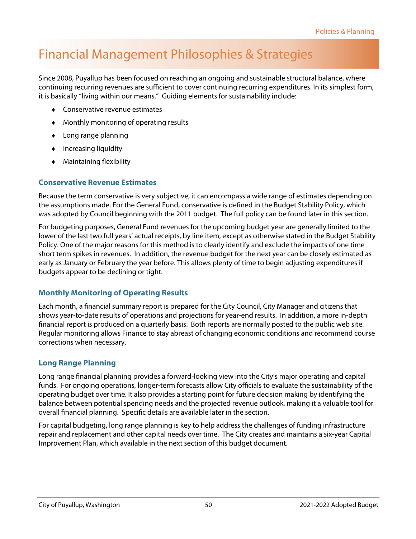### <span id="page-2-0"></span>Financial Management Philosophies & Strategies

Since 2008, Puyallup has been focused on reaching an ongoing and sustainable structural balance, where continuing recurring revenues are sufficient to cover continuing recurring expenditures. In its simplest form, it is basically "living within our means." Guiding elements for sustainability include:

- Conservative revenue estimates
- Monthly monitoring of operating results
- Long range planning
- $\bullet$  Increasing liquidity
- Maintaining flexibility

#### **Conservative Revenue Estimates**

Because the term conservative is very subjective, it can encompass a wide range of estimates depending on the assumptions made. For the General Fund, conservative is defined in the Budget Stability Policy, which was adopted by Council beginning with the 2011 budget. The full policy can be found later in this section.

For budgeting purposes, General Fund revenues for the upcoming budget year are generally limited to the lower of the last two full years' actual receipts, by line item, except as otherwise stated in the Budget Stability Policy. One of the major reasons for this method is to clearly identify and exclude the impacts of one time short term spikes in revenues. In addition, the revenue budget for the next year can be closely estimated as early as January or February the year before. This allows plenty of time to begin adjusting expenditures if budgets appear to be declining or tight.

#### **Monthly Monitoring of Operating Results**

Each month, a financial summary report is prepared for the City Council, City Manager and citizens that shows year-to-date results of operations and projections for year-end results. In addition, a more in-depth financial report is produced on a quarterly basis. Both reports are normally posted to the public web site. Regular monitoring allows Finance to stay abreast of changing economic conditions and recommend course corrections when necessary.

#### **Long Range Planning**

Long range financial planning provides a forward-looking view into the City's major operating and capital funds. For ongoing operations, longer-term forecasts allow City officials to evaluate the sustainability of the operating budget over time. It also provides a starting point for future decision making by identifying the balance between potential spending needs and the projected revenue outlook, making it a valuable tool for overall financial planning. Specific details are available later in the section.

For capital budgeting, long range planning is key to help address the challenges of funding infrastructure repair and replacement and other capital needs over time. The City creates and maintains a six-year Capital Improvement Plan, which available in the next section of this budget document.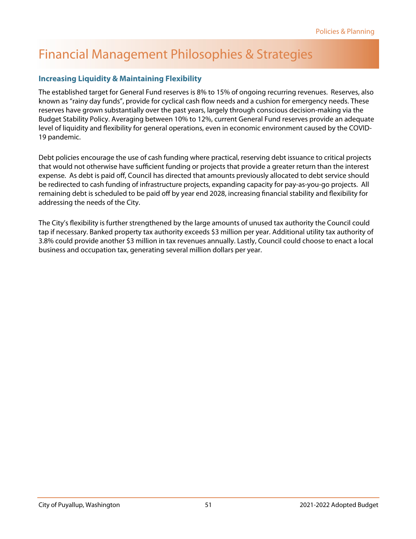### Financial Management Philosophies & Strategies

#### **Increasing Liquidity & Maintaining Flexibility**

The established target for General Fund reserves is 8% to 15% of ongoing recurring revenues. Reserves, also known as "rainy day funds", provide for cyclical cash flow needs and a cushion for emergency needs. These reserves have grown substantially over the past years, largely through conscious decision-making via the Budget Stability Policy. Averaging between 10% to 12%, current General Fund reserves provide an adequate level of liquidity and flexibility for general operations, even in economic environment caused by the COVID-19 pandemic.

Debt policies encourage the use of cash funding where practical, reserving debt issuance to critical projects that would not otherwise have sufficient funding or projects that provide a greater return than the interest expense. As debt is paid off, Council has directed that amounts previously allocated to debt service should be redirected to cash funding of infrastructure projects, expanding capacity for pay-as-you-go projects. All remaining debt is scheduled to be paid off by year end 2028, increasing financial stability and flexibility for addressing the needs of the City.

The City's flexibility is further strengthened by the large amounts of unused tax authority the Council could tap if necessary. Banked property tax authority exceeds \$3 million per year. Additional utility tax authority of 3.8% could provide another \$3 million in tax revenues annually. Lastly, Council could choose to enact a local business and occupation tax, generating several million dollars per year.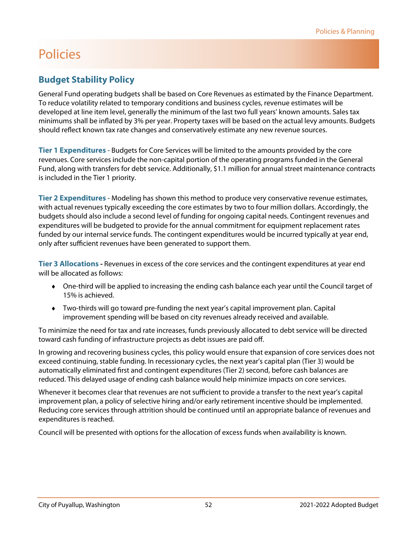#### <span id="page-4-0"></span>**Budget Stability Policy**

General Fund operating budgets shall be based on Core Revenues as estimated by the Finance Department. To reduce volatility related to temporary conditions and business cycles, revenue estimates will be developed at line item level, generally the minimum of the last two full years' known amounts. Sales tax minimums shall be inflated by 3% per year. Property taxes will be based on the actual levy amounts. Budgets should reflect known tax rate changes and conservatively estimate any new revenue sources.

**Tier 1 Expenditures** - Budgets for Core Services will be limited to the amounts provided by the core revenues. Core services include the non-capital portion of the operating programs funded in the General Fund, along with transfers for debt service. Additionally, \$1.1 million for annual street maintenance contracts is included in the Tier 1 priority.

**Tier 2 Expenditures** - Modeling has shown this method to produce very conservative revenue estimates, with actual revenues typically exceeding the core estimates by two to four million dollars. Accordingly, the budgets should also include a second level of funding for ongoing capital needs. Contingent revenues and expenditures will be budgeted to provide for the annual commitment for equipment replacement rates funded by our internal service funds. The contingent expenditures would be incurred typically at year end, only after sufficient revenues have been generated to support them.

**Tier 3 Allocations -** Revenues in excess of the core services and the contingent expenditures at year end will be allocated as follows:

- One-third will be applied to increasing the ending cash balance each year until the Council target of 15% is achieved.
- Two-thirds will go toward pre-funding the next year's capital improvement plan. Capital improvement spending will be based on city revenues already received and available.

To minimize the need for tax and rate increases, funds previously allocated to debt service will be directed toward cash funding of infrastructure projects as debt issues are paid off.

In growing and recovering business cycles, this policy would ensure that expansion of core services does not exceed continuing, stable funding. In recessionary cycles, the next year's capital plan (Tier 3) would be automatically eliminated first and contingent expenditures (Tier 2) second, before cash balances are reduced. This delayed usage of ending cash balance would help minimize impacts on core services.

Whenever it becomes clear that revenues are not sufficient to provide a transfer to the next year's capital improvement plan, a policy of selective hiring and/or early retirement incentive should be implemented. Reducing core services through attrition should be continued until an appropriate balance of revenues and expenditures is reached.

Council will be presented with options for the allocation of excess funds when availability is known.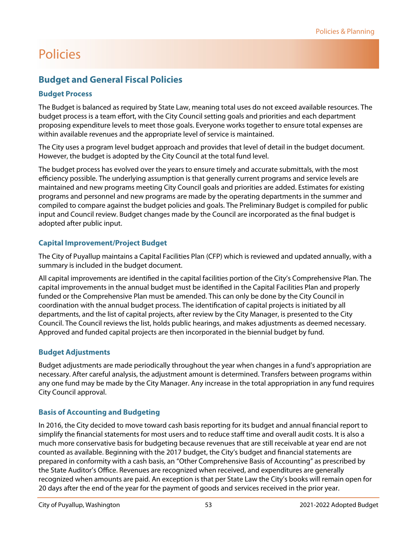#### <span id="page-5-0"></span>**Budget and General Fiscal Policies**

#### **Budget Process**

The Budget is balanced as required by State Law, meaning total uses do not exceed available resources. The budget process is a team effort, with the City Council setting goals and priorities and each department proposing expenditure levels to meet those goals. Everyone works together to ensure total expenses are within available revenues and the appropriate level of service is maintained.

The City uses a program level budget approach and provides that level of detail in the budget document. However, the budget is adopted by the City Council at the total fund level.

The budget process has evolved over the years to ensure timely and accurate submittals, with the most efficiency possible. The underlying assumption is that generally current programs and service levels are maintained and new programs meeting City Council goals and priorities are added. Estimates for existing programs and personnel and new programs are made by the operating departments in the summer and compiled to compare against the budget policies and goals. The Preliminary Budget is compiled for public input and Council review. Budget changes made by the Council are incorporated as the final budget is adopted after public input.

#### **Capital Improvement/Project Budget**

The City of Puyallup maintains a Capital Facilities Plan (CFP) which is reviewed and updated annually, with a summary is included in the budget document.

All capital improvements are identified in the capital facilities portion of the City's Comprehensive Plan. The capital improvements in the annual budget must be identified in the Capital Facilities Plan and properly funded or the Comprehensive Plan must be amended. This can only be done by the City Council in coordination with the annual budget process. The identification of capital projects is initiated by all departments, and the list of capital projects, after review by the City Manager, is presented to the City Council. The Council reviews the list, holds public hearings, and makes adjustments as deemed necessary. Approved and funded capital projects are then incorporated in the biennial budget by fund.

#### **Budget Adjustments**

Budget adjustments are made periodically throughout the year when changes in a fund's appropriation are necessary. After careful analysis, the adjustment amount is determined. Transfers between programs within any one fund may be made by the City Manager. Any increase in the total appropriation in any fund requires City Council approval.

#### **Basis of Accounting and Budgeting**

In 2016, the City decided to move toward cash basis reporting for its budget and annual financial report to simplify the financial statements for most users and to reduce staff time and overall audit costs. It is also a much more conservative basis for budgeting because revenues that are still receivable at year end are not counted as available. Beginning with the 2017 budget, the City's budget and financial statements are prepared in conformity with a cash basis, an "Other Comprehensive Basis of Accounting" as prescribed by the State Auditor's Office. Revenues are recognized when received, and expenditures are generally recognized when amounts are paid. An exception is that per State Law the City's books will remain open for 20 days after the end of the year for the payment of goods and services received in the prior year.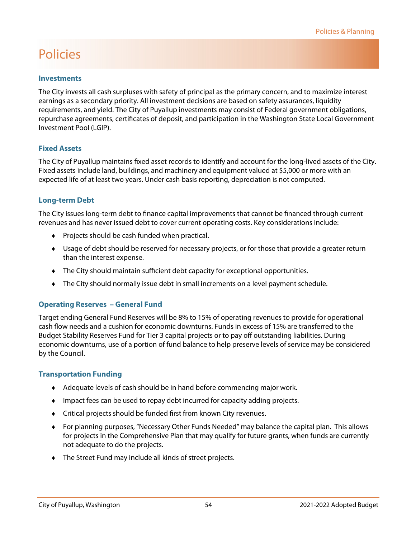#### **Investments**

The City invests all cash surpluses with safety of principal as the primary concern, and to maximize interest earnings as a secondary priority. All investment decisions are based on safety assurances, liquidity requirements, and yield. The City of Puyallup investments may consist of Federal government obligations, repurchase agreements, certificates of deposit, and participation in the Washington State Local Government Investment Pool (LGIP).

#### **Fixed Assets**

The City of Puyallup maintains fixed asset records to identify and account for the long-lived assets of the City. Fixed assets include land, buildings, and machinery and equipment valued at \$5,000 or more with an expected life of at least two years. Under cash basis reporting, depreciation is not computed.

#### **Long-term Debt**

The City issues long-term debt to finance capital improvements that cannot be financed through current revenues and has never issued debt to cover current operating costs. Key considerations include:

- ◆ Projects should be cash funded when practical.
- Usage of debt should be reserved for necessary projects, or for those that provide a greater return than the interest expense.
- The City should maintain sufficient debt capacity for exceptional opportunities.
- The City should normally issue debt in small increments on a level payment schedule.

#### **Operating Reserves – General Fund**

Target ending General Fund Reserves will be 8% to 15% of operating revenues to provide for operational cash flow needs and a cushion for economic downturns. Funds in excess of 15% are transferred to the Budget Stability Reserves Fund for Tier 3 capital projects or to pay off outstanding liabilities. During economic downturns, use of a portion of fund balance to help preserve levels of service may be considered by the Council.

#### **Transportation Funding**

- Adequate levels of cash should be in hand before commencing major work.
- Impact fees can be used to repay debt incurred for capacity adding projects.
- Critical projects should be funded first from known City revenues.
- For planning purposes, "Necessary Other Funds Needed" may balance the capital plan. This allows for projects in the Comprehensive Plan that may qualify for future grants, when funds are currently not adequate to do the projects.
- The Street Fund may include all kinds of street projects.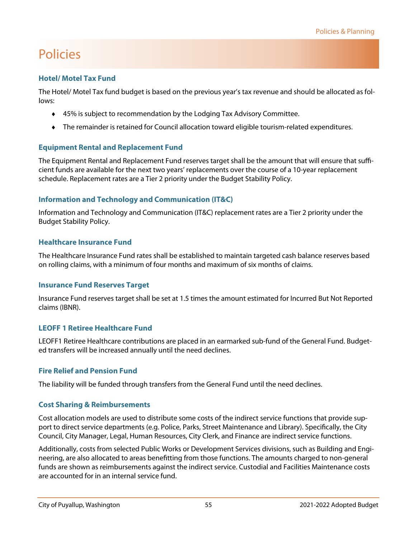#### **Hotel/ Motel Tax Fund**

The Hotel/ Motel Tax fund budget is based on the previous year's tax revenue and should be allocated as follows:

- 45% is subject to recommendation by the Lodging Tax Advisory Committee.
- The remainder is retained for Council allocation toward eligible tourism-related expenditures.

#### **Equipment Rental and Replacement Fund**

The Equipment Rental and Replacement Fund reserves target shall be the amount that will ensure that sufficient funds are available for the next two years' replacements over the course of a 10-year replacement schedule. Replacement rates are a Tier 2 priority under the Budget Stability Policy.

#### **Information and Technology and Communication (IT&C)**

Information and Technology and Communication (IT&C) replacement rates are a Tier 2 priority under the Budget Stability Policy.

#### **Healthcare Insurance Fund**

The Healthcare Insurance Fund rates shall be established to maintain targeted cash balance reserves based on rolling claims, with a minimum of four months and maximum of six months of claims.

#### **Insurance Fund Reserves Target**

Insurance Fund reserves target shall be set at 1.5 times the amount estimated for Incurred But Not Reported claims (IBNR).

#### **LEOFF 1 Retiree Healthcare Fund**

LEOFF1 Retiree Healthcare contributions are placed in an earmarked sub-fund of the General Fund. Budgeted transfers will be increased annually until the need declines.

#### **Fire Relief and Pension Fund**

The liability will be funded through transfers from the General Fund until the need declines.

#### **Cost Sharing & Reimbursements**

Cost allocation models are used to distribute some costs of the indirect service functions that provide support to direct service departments (e.g. Police, Parks, Street Maintenance and Library). Specifically, the City Council, City Manager, Legal, Human Resources, City Clerk, and Finance are indirect service functions.

Additionally, costs from selected Public Works or Development Services divisions, such as Building and Engineering, are also allocated to areas benefitting from those functions. The amounts charged to non-general funds are shown as reimbursements against the indirect service. Custodial and Facilities Maintenance costs are accounted for in an internal service fund.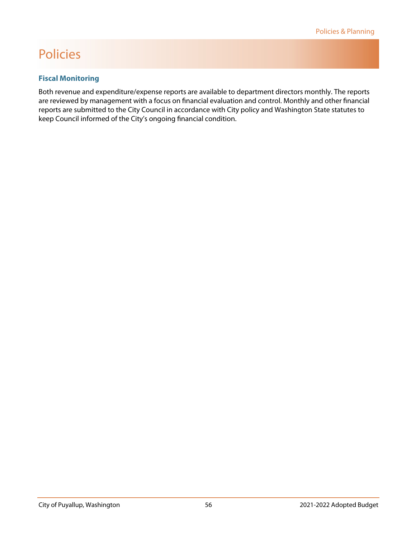#### **Fiscal Monitoring**

Both revenue and expenditure/expense reports are available to department directors monthly. The reports are reviewed by management with a focus on financial evaluation and control. Monthly and other financial reports are submitted to the City Council in accordance with City policy and Washington State statutes to keep Council informed of the City's ongoing financial condition.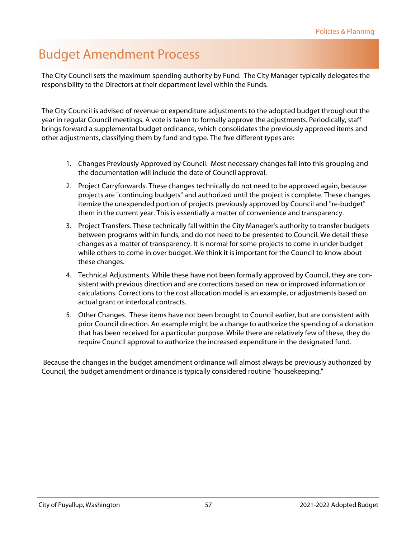### <span id="page-9-0"></span>Budget Amendment Process

The City Council sets the maximum spending authority by Fund. The City Manager typically delegates the responsibility to the Directors at their department level within the Funds.

The City Council is advised of revenue or expenditure adjustments to the adopted budget throughout the year in regular Council meetings. A vote is taken to formally approve the adjustments. Periodically, staff brings forward a supplemental budget ordinance, which consolidates the previously approved items and other adjustments, classifying them by fund and type. The five different types are:

- 1. Changes Previously Approved by Council. Most necessary changes fall into this grouping and the documentation will include the date of Council approval.
- 2. Project Carryforwards. These changes technically do not need to be approved again, because projects are "continuing budgets" and authorized until the project is complete. These changes itemize the unexpended portion of projects previously approved by Council and "re-budget" them in the current year. This is essentially a matter of convenience and transparency.
- 3. Project Transfers. These technically fall within the City Manager's authority to transfer budgets between programs within funds, and do not need to be presented to Council. We detail these changes as a matter of transparency. It is normal for some projects to come in under budget while others to come in over budget. We think it is important for the Council to know about these changes.
- 4. Technical Adjustments. While these have not been formally approved by Council, they are consistent with previous direction and are corrections based on new or improved information or calculations. Corrections to the cost allocation model is an example, or adjustments based on actual grant or interlocal contracts.
- 5. Other Changes. These items have not been brought to Council earlier, but are consistent with prior Council direction. An example might be a change to authorize the spending of a donation that has been received for a particular purpose. While there are relatively few of these, they do require Council approval to authorize the increased expenditure in the designated fund.

 Because the changes in the budget amendment ordinance will almost always be previously authorized by Council, the budget amendment ordinance is typically considered routine "housekeeping."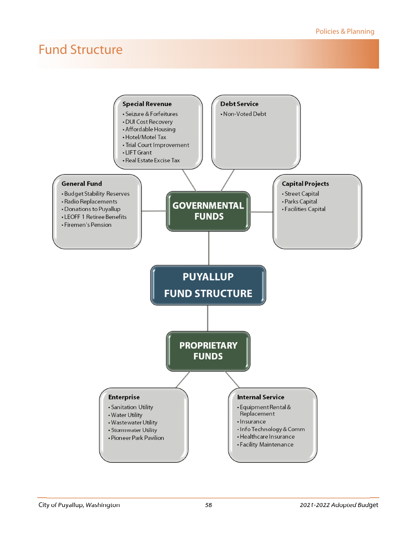<span id="page-10-0"></span>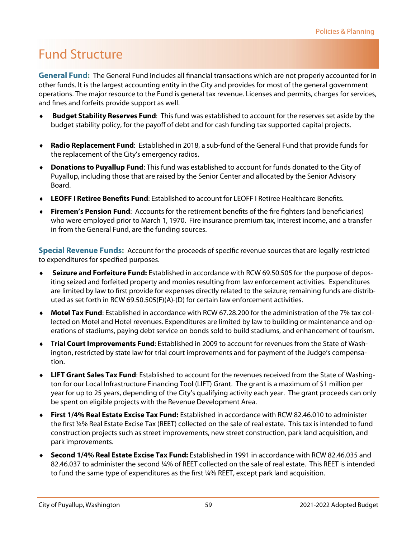**General Fund:** The General Fund includes all financial transactions which are not properly accounted for in other funds. It is the largest accounting entity in the City and provides for most of the general government operations. The major resource to the Fund is general tax revenue. Licenses and permits, charges for services, and fines and forfeits provide support as well.

- **Budget Stability Reserves Fund**: This fund was established to account for the reserves set aside by the budget stability policy, for the payoff of debt and for cash funding tax supported capital projects.
- **Radio Replacement Fund**: Established in 2018, a sub-fund of the General Fund that provide funds for the replacement of the City's emergency radios.
- **Donations to Puyallup Fund**: This fund was established to account for funds donated to the City of Puyallup, including those that are raised by the Senior Center and allocated by the Senior Advisory Board.
- **LEOFF I Retiree Benefits Fund**: Established to account for LEOFF I Retiree Healthcare Benefits.
- **Firemen's Pension Fund**: Accounts for the retirement benefits of the fire fighters (and beneficiaries) who were employed prior to March 1, 1970. Fire insurance premium tax, interest income, and a transfer in from the General Fund, are the funding sources.

**Special Revenue Funds:** Account for the proceeds of specific revenue sources that are legally restricted to expenditures for specified purposes.

- **Seizure and Forfeiture Fund:** Established in accordance with RCW 69.50.505 for the purpose of depositing seized and forfeited property and monies resulting from law enforcement activities. Expenditures are limited by law to first provide for expenses directly related to the seizure; remaining funds are distributed as set forth in RCW 69.50.505(F)(A)-(D) for certain law enforcement activities.
- **Motel Tax Fund**: Established in accordance with RCW 67.28.200 for the administration of the 7% tax collected on Motel and Hotel revenues. Expenditures are limited by law to building or maintenance and operations of stadiums, paying debt service on bonds sold to build stadiums, and enhancement of tourism.
- T**rial Court Improvements Fund**: Established in 2009 to account for revenues from the State of Washington, restricted by state law for trial court improvements and for payment of the Judge's compensation.
- **LIFT Grant Sales Tax Fund**: Established to account for the revenues received from the State of Washington for our Local Infrastructure Financing Tool (LIFT) Grant. The grant is a maximum of \$1 million per year for up to 25 years, depending of the City's qualifying activity each year. The grant proceeds can only be spent on eligible projects with the Revenue Development Area.
- **First 1/4% Real Estate Excise Tax Fund:** Established in accordance with RCW 82.46.010 to administer the first ¼% Real Estate Excise Tax (REET) collected on the sale of real estate. This tax is intended to fund construction projects such as street improvements, new street construction, park land acquisition, and park improvements.
- **Second 1/4% Real Estate Excise Tax Fund:** Established in 1991 in accordance with RCW 82.46.035 and 82.46.037 to administer the second ¼% of REET collected on the sale of real estate. This REET is intended to fund the same type of expenditures as the first ¼% REET, except park land acquisition.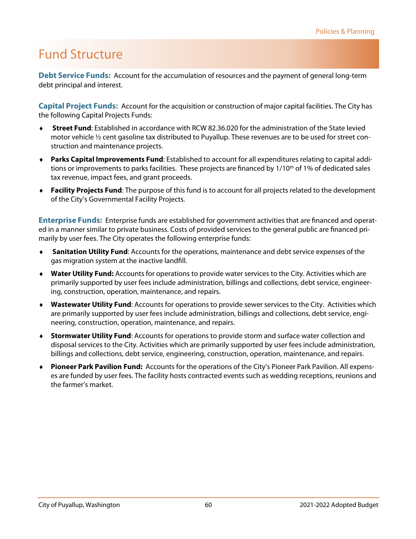**Debt Service Funds:** Account for the accumulation of resources and the payment of general long-term debt principal and interest.

**Capital Project Funds:** Account for the acquisition or construction of major capital facilities. The City has the following Capital Projects Funds:

- **Street Fund**: Established in accordance with RCW 82.36.020 for the administration of the State levied motor vehicle ½ cent gasoline tax distributed to Puyallup. These revenues are to be used for street construction and maintenance projects.
- **Parks Capital Improvements Fund**: Established to account for all expenditures relating to capital additions or improvements to parks facilities. These projects are financed by 1/10<sup>th</sup> of 1% of dedicated sales tax revenue, impact fees, and grant proceeds.
- **Facility Projects Fund**: The purpose of this fund is to account for all projects related to the development of the City's Governmental Facility Projects.

**Enterprise Funds:** Enterprise funds are established for government activities that are financed and operated in a manner similar to private business. Costs of provided services to the general public are financed primarily by user fees. The City operates the following enterprise funds:

- **Sanitation Utility Fund**: Accounts for the operations, maintenance and debt service expenses of the gas migration system at the inactive landfill.
- **Water Utility Fund:** Accounts for operations to provide water services to the City. Activities which are primarily supported by user fees include administration, billings and collections, debt service, engineering, construction, operation, maintenance, and repairs.
- **Wastewater Utility Fund**: Accounts for operations to provide sewer services to the City. Activities which are primarily supported by user fees include administration, billings and collections, debt service, engineering, construction, operation, maintenance, and repairs.
- **Stormwater Utility Fund**: Accounts for operations to provide storm and surface water collection and disposal services to the City. Activities which are primarily supported by user fees include administration, billings and collections, debt service, engineering, construction, operation, maintenance, and repairs.
- **Pioneer Park Pavilion Fund:** Accounts for the operations of the City's Pioneer Park Pavilion. All expenses are funded by user fees. The facility hosts contracted events such as wedding receptions, reunions and the farmer's market.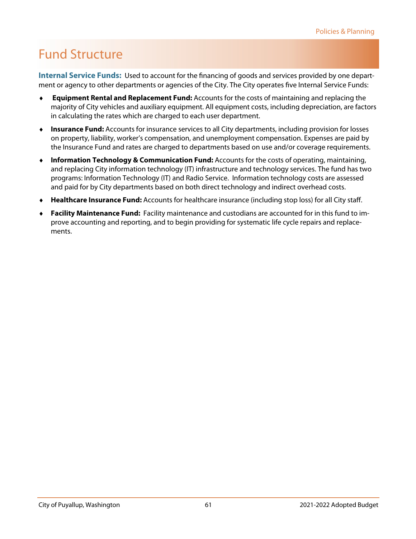**Internal Service Funds:** Used to account for the financing of goods and services provided by one department or agency to other departments or agencies of the City. The City operates five Internal Service Funds:

- **Equipment Rental and Replacement Fund:** Accounts for the costs of maintaining and replacing the majority of City vehicles and auxiliary equipment. All equipment costs, including depreciation, are factors in calculating the rates which are charged to each user department.
- **Insurance Fund:** Accounts for insurance services to all City departments, including provision for losses on property, liability, worker's compensation, and unemployment compensation. Expenses are paid by the Insurance Fund and rates are charged to departments based on use and/or coverage requirements.
- **Information Technology & Communication Fund:** Accounts for the costs of operating, maintaining, and replacing City information technology (IT) infrastructure and technology services. The fund has two programs: Information Technology (IT) and Radio Service. Information technology costs are assessed and paid for by City departments based on both direct technology and indirect overhead costs.
- **Healthcare Insurance Fund:** Accounts for healthcare insurance (including stop loss) for all City staff.
- **Facility Maintenance Fund:** Facility maintenance and custodians are accounted for in this fund to improve accounting and reporting, and to begin providing for systematic life cycle repairs and replacements.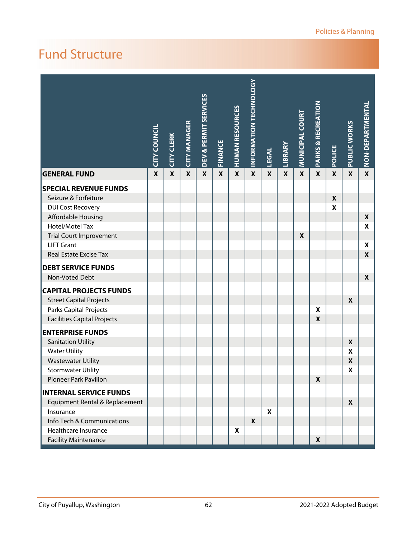|                                    | <b>CITY COUNCIL</b> | <b>CITY CLERK</b> | <b>CITY MANAGER</b> | <b>DEV &amp; PERMIT SERVICES</b> | <b>FINANCE</b> | <b>HUMAN RESOURCES</b> | <b>INFORMATION TECHNOLOGY</b> | <b>LEGAL</b> | LIBRARY      | <b>MUNICIPAL COURT</b> | <b>PARKS &amp; RECREATION</b> | POLICE           | PUBLIC WORKS     | NON-DEPARTMENTAL |
|------------------------------------|---------------------|-------------------|---------------------|----------------------------------|----------------|------------------------|-------------------------------|--------------|--------------|------------------------|-------------------------------|------------------|------------------|------------------|
| <b>GENERAL FUND</b>                | $\mathbf x$         | $\mathbf{x}$      | $\boldsymbol{x}$    | $\mathbf x$                      | $\mathbf x$    | $\boldsymbol{x}$       | $\mathbf{x}$                  | $\mathbf{x}$ | $\mathbf{x}$ | $\mathbf x$            | $\mathbf x$                   | $\boldsymbol{x}$ | $\boldsymbol{x}$ | $\mathbf{x}$     |
| <b>SPECIAL REVENUE FUNDS</b>       |                     |                   |                     |                                  |                |                        |                               |              |              |                        |                               |                  |                  |                  |
| Seizure & Forfeiture               |                     |                   |                     |                                  |                |                        |                               |              |              |                        |                               | $\boldsymbol{x}$ |                  |                  |
| <b>DUI Cost Recovery</b>           |                     |                   |                     |                                  |                |                        |                               |              |              |                        |                               | X                |                  |                  |
| Affordable Housing                 |                     |                   |                     |                                  |                |                        |                               |              |              |                        |                               |                  |                  | X                |
| Hotel/Motel Tax                    |                     |                   |                     |                                  |                |                        |                               |              |              |                        |                               |                  |                  | $\boldsymbol{x}$ |
| <b>Trial Court Improvement</b>     |                     |                   |                     |                                  |                |                        |                               |              |              | $\pmb{\mathsf{X}}$     |                               |                  |                  |                  |
| <b>LIFT Grant</b>                  |                     |                   |                     |                                  |                |                        |                               |              |              |                        |                               |                  |                  | $\boldsymbol{x}$ |
| Real Estate Excise Tax             |                     |                   |                     |                                  |                |                        |                               |              |              |                        |                               |                  |                  | $\boldsymbol{x}$ |
| <b>DEBT SERVICE FUNDS</b>          |                     |                   |                     |                                  |                |                        |                               |              |              |                        |                               |                  |                  |                  |
| Non-Voted Debt                     |                     |                   |                     |                                  |                |                        |                               |              |              |                        |                               |                  |                  | $\boldsymbol{x}$ |
| <b>CAPITAL PROJECTS FUNDS</b>      |                     |                   |                     |                                  |                |                        |                               |              |              |                        |                               |                  |                  |                  |
| <b>Street Capital Projects</b>     |                     |                   |                     |                                  |                |                        |                               |              |              |                        |                               |                  | X                |                  |
| Parks Capital Projects             |                     |                   |                     |                                  |                |                        |                               |              |              |                        | X                             |                  |                  |                  |
| <b>Facilities Capital Projects</b> |                     |                   |                     |                                  |                |                        |                               |              |              |                        | $\boldsymbol{x}$              |                  |                  |                  |
| <b>ENTERPRISE FUNDS</b>            |                     |                   |                     |                                  |                |                        |                               |              |              |                        |                               |                  |                  |                  |
| <b>Sanitation Utility</b>          |                     |                   |                     |                                  |                |                        |                               |              |              |                        |                               |                  | X                |                  |
| <b>Water Utility</b>               |                     |                   |                     |                                  |                |                        |                               |              |              |                        |                               |                  | $\mathbf{x}$     |                  |
| <b>Wastewater Utility</b>          |                     |                   |                     |                                  |                |                        |                               |              |              |                        |                               |                  | $\boldsymbol{x}$ |                  |
| <b>Stormwater Utility</b>          |                     |                   |                     |                                  |                |                        |                               |              |              |                        |                               |                  | $\mathbf x$      |                  |
| Pioneer Park Pavilion              |                     |                   |                     |                                  |                |                        |                               |              |              |                        | X                             |                  |                  |                  |
| <b>INTERNAL SERVICE FUNDS</b>      |                     |                   |                     |                                  |                |                        |                               |              |              |                        |                               |                  |                  |                  |
| Equipment Rental & Replacement     |                     |                   |                     |                                  |                |                        |                               |              |              |                        |                               |                  | X                |                  |
| Insurance                          |                     |                   |                     |                                  |                |                        |                               | X            |              |                        |                               |                  |                  |                  |
| Info Tech & Communications         |                     |                   |                     |                                  |                |                        | $\boldsymbol{x}$              |              |              |                        |                               |                  |                  |                  |
| Healthcare Insurance               |                     |                   |                     |                                  |                | X                      |                               |              |              |                        |                               |                  |                  |                  |
| <b>Facility Maintenance</b>        |                     |                   |                     |                                  |                |                        |                               |              |              |                        | $\mathbf{x}$                  |                  |                  |                  |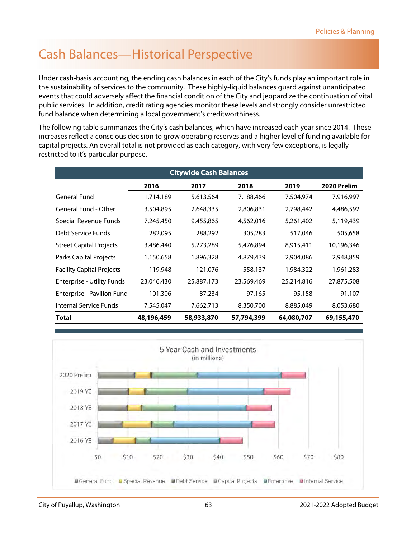### <span id="page-15-0"></span>Cash Balances—Historical Perspective

Under cash-basis accounting, the ending cash balances in each of the City's funds play an important role in the sustainability of services to the community. These highly-liquid balances guard against unanticipated events that could adversely affect the financial condition of the City and jeopardize the continuation of vital public services. In addition, credit rating agencies monitor these levels and strongly consider unrestricted fund balance when determining a local government's creditworthiness.

The following table summarizes the City's cash balances, which have increased each year since 2014. These increases reflect a conscious decision to grow operating reserves and a higher level of funding available for capital projects. An overall total is not provided as each category, with very few exceptions, is legally restricted to it's particular purpose.

|                                   |            | <b>Citywide Cash Balances</b> |            |            |             |
|-----------------------------------|------------|-------------------------------|------------|------------|-------------|
|                                   | 2016       | 2017                          | 2018       | 2019       | 2020 Prelim |
| <b>General Fund</b>               | 1,714,189  | 5,613,564                     | 7,188,466  | 7,504,974  | 7,916,997   |
| General Fund - Other              | 3,504,895  | 2,648,335                     | 2,806,831  | 2,798,442  | 4,486,592   |
| Special Revenue Funds             | 7,245,450  | 9,455,865                     | 4,562,016  | 5,261,402  | 5,119,439   |
| Debt Service Funds                | 282,095    | 288,292                       | 305,283    | 517,046    | 505,658     |
| <b>Street Capital Projects</b>    | 3,486,440  | 5,273,289                     | 5,476,894  | 8,915,411  | 10,196,346  |
| Parks Capital Projects            | 1,150,658  | 1,896,328                     | 4,879,439  | 2,904,086  | 2,948,859   |
| <b>Facility Capital Projects</b>  | 119,948    | 121,076                       | 558,137    | 1,984,322  | 1,961,283   |
| <b>Enterprise - Utility Funds</b> | 23,046,430 | 25,887,173                    | 23,569,469 | 25,214,816 | 27,875,508  |
| Enterprise - Pavilion Fund        | 101,306    | 87,234                        | 97,165     | 95,158     | 91,107      |
| Internal Service Funds            | 7,545,047  | 7,662,713                     | 8,350,700  | 8,885,049  | 8,053,680   |
| Total                             | 48,196,459 | 58,933,870                    | 57,794,399 | 64,080,707 | 69,155,470  |

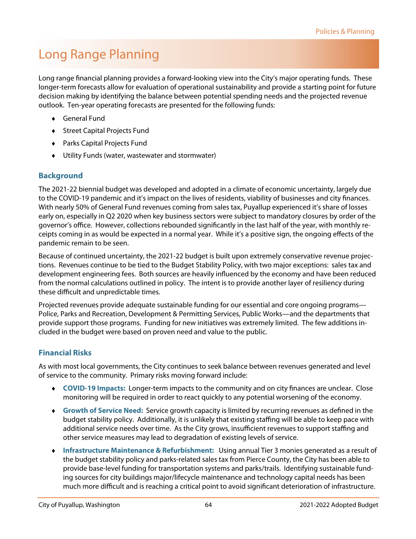### <span id="page-16-0"></span>Long Range Planning

Long range financial planning provides a forward-looking view into the City's major operating funds. These longer-term forecasts allow for evaluation of operational sustainability and provide a starting point for future decision making by identifying the balance between potential spending needs and the projected revenue outlook. Ten-year operating forecasts are presented for the following funds:

- General Fund
- ◆ Street Capital Projects Fund
- Parks Capital Projects Fund
- Utility Funds (water, wastewater and stormwater)

#### **Background**

The 2021-22 biennial budget was developed and adopted in a climate of economic uncertainty, largely due to the COVID-19 pandemic and it's impact on the lives of residents, viability of businesses and city finances. With nearly 50% of General Fund revenues coming from sales tax, Puyallup experienced it's share of losses early on, especially in Q2 2020 when key business sectors were subject to mandatory closures by order of the governor's office. However, collections rebounded significantly in the last half of the year, with monthly receipts coming in as would be expected in a normal year. While it's a positive sign, the ongoing effects of the pandemic remain to be seen.

Because of continued uncertainty, the 2021-22 budget is built upon extremely conservative revenue projections. Revenues continue to be tied to the Budget Stability Policy, with two major exceptions: sales tax and development engineering fees. Both sources are heavily influenced by the economy and have been reduced from the normal calculations outlined in policy. The intent is to provide another layer of resiliency during these difficult and unpredictable times.

Projected revenues provide adequate sustainable funding for our essential and core ongoing programs— Police, Parks and Recreation, Development & Permitting Services, Public Works—and the departments that provide support those programs. Funding for new initiatives was extremely limited. The few additions included in the budget were based on proven need and value to the public.

#### **Financial Risks**

As with most local governments, the City continues to seek balance between revenues generated and level of service to the community. Primary risks moving forward include:

- **COVID-19 Impacts:** Longer-term impacts to the community and on city finances are unclear. Close monitoring will be required in order to react quickly to any potential worsening of the economy.
- **Growth of Service Need:** Service growth capacity is limited by recurring revenues as defined in the budget stability policy. Additionally, it is unlikely that existing staffing will be able to keep pace with additional service needs over time. As the City grows, insufficient revenues to support staffing and other service measures may lead to degradation of existing levels of service.
- **Infrastructure Maintenance & Refurbishment:** Using annual Tier 3 monies generated as a result of the budget stability policy and parks-related sales tax from Pierce County, the City has been able to provide base-level funding for transportation systems and parks/trails. Identifying sustainable funding sources for city buildings major/lifecycle maintenance and technology capital needs has been much more difficult and is reaching a critical point to avoid significant deterioration of infrastructure.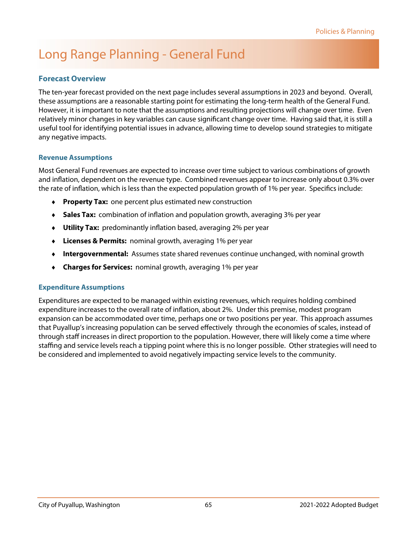### Long Range Planning - General Fund

#### **Forecast Overview**

The ten-year forecast provided on the next page includes several assumptions in 2023 and beyond. Overall, these assumptions are a reasonable starting point for estimating the long-term health of the General Fund. However, it is important to note that the assumptions and resulting projections will change over time. Even relatively minor changes in key variables can cause significant change over time. Having said that, it is still a useful tool for identifying potential issues in advance, allowing time to develop sound strategies to mitigate any negative impacts.

#### **Revenue Assumptions**

Most General Fund revenues are expected to increase over time subject to various combinations of growth and inflation, dependent on the revenue type. Combined revenues appear to increase only about 0.3% over the rate of inflation, which is less than the expected population growth of 1% per year. Specifics include:

- **Property Tax:** one percent plus estimated new construction
- **Sales Tax:** combination of inflation and population growth, averaging 3% per year
- **Utility Tax:** predominantly inflation based, averaging 2% per year
- **Licenses & Permits:** nominal growth, averaging 1% per year
- **Intergovernmental:** Assumes state shared revenues continue unchanged, with nominal growth
- **Charges for Services:** nominal growth, averaging 1% per year

#### **Expenditure Assumptions**

Expenditures are expected to be managed within existing revenues, which requires holding combined expenditure increases to the overall rate of inflation, about 2%. Under this premise, modest program expansion can be accommodated over time, perhaps one or two positions per year. This approach assumes that Puyallup's increasing population can be served effectively through the economies of scales, instead of through staff increases in direct proportion to the population. However, there will likely come a time where staffing and service levels reach a tipping point where this is no longer possible. Other strategies will need to be considered and implemented to avoid negatively impacting service levels to the community.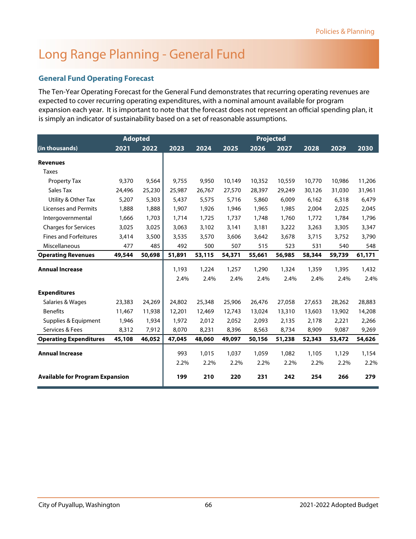### Long Range Planning - General Fund

#### **General Fund Operating Forecast**

The Ten-Year Operating Forecast for the General Fund demonstrates that recurring operating revenues are expected to cover recurring operating expenditures, with a nominal amount available for program expansion each year. It is important to note that the forecast does not represent an official spending plan, it is simply an indicator of sustainability based on a set of reasonable assumptions.

|                                        | <b>Adopted</b> |        |        |        |        | Projected |        |        |        |        |
|----------------------------------------|----------------|--------|--------|--------|--------|-----------|--------|--------|--------|--------|
| (in thousands)                         | 2021           | 2022   | 2023   | 2024   | 2025   | 2026      | 2027   | 2028   | 2029   | 2030   |
| <b>Revenues</b>                        |                |        |        |        |        |           |        |        |        |        |
| <b>Taxes</b>                           |                |        |        |        |        |           |        |        |        |        |
| Property Tax                           | 9,370          | 9,564  | 9.755  | 9,950  | 10,149 | 10,352    | 10,559 | 10,770 | 10,986 | 11,206 |
| Sales Tax                              | 24,496         | 25,230 | 25,987 | 26,767 | 27,570 | 28,397    | 29,249 | 30,126 | 31,030 | 31,961 |
| Utility & Other Tax                    | 5,207          | 5,303  | 5,437  | 5,575  | 5,716  | 5,860     | 6,009  | 6,162  | 6,318  | 6,479  |
| <b>Licenses and Permits</b>            | 1,888          | 1,888  | 1,907  | 1,926  | 1,946  | 1,965     | 1,985  | 2,004  | 2,025  | 2,045  |
| Intergovernmental                      | 1,666          | 1,703  | 1,714  | 1,725  | 1,737  | 1,748     | 1,760  | 1,772  | 1,784  | 1,796  |
| <b>Charges for Services</b>            | 3,025          | 3,025  | 3,063  | 3,102  | 3,141  | 3,181     | 3,222  | 3,263  | 3,305  | 3,347  |
| <b>Fines and Forfeitures</b>           | 3,414          | 3,500  | 3,535  | 3,570  | 3,606  | 3,642     | 3,678  | 3,715  | 3,752  | 3,790  |
| Miscellaneous                          | 477            | 485    | 492    | 500    | 507    | 515       | 523    | 531    | 540    | 548    |
| <b>Operating Revenues</b>              | 49,544         | 50,698 | 51,891 | 53,115 | 54,371 | 55,661    | 56,985 | 58,344 | 59,739 | 61,171 |
| <b>Annual Increase</b>                 |                |        | 1,193  | 1,224  | 1,257  | 1,290     | 1,324  | 1,359  | 1,395  | 1,432  |
|                                        |                |        | 2.4%   | 2.4%   | 2.4%   | 2.4%      | 2.4%   | 2.4%   | 2.4%   | 2.4%   |
| <b>Expenditures</b>                    |                |        |        |        |        |           |        |        |        |        |
| Salaries & Wages                       | 23,383         | 24,269 | 24,802 | 25,348 | 25,906 | 26,476    | 27,058 | 27,653 | 28,262 | 28,883 |
| <b>Benefits</b>                        | 11,467         | 11,938 | 12,201 | 12,469 | 12,743 | 13,024    | 13,310 | 13,603 | 13,902 | 14,208 |
| Supplies & Equipment                   | 1,946          | 1,934  | 1,972  | 2,012  | 2,052  | 2,093     | 2,135  | 2,178  | 2,221  | 2,266  |
| Services & Fees                        | 8,312          | 7,912  | 8,070  | 8,231  | 8,396  | 8,563     | 8,734  | 8,909  | 9,087  | 9,269  |
| <b>Operating Expenditures</b>          | 45,108         | 46,052 | 47,045 | 48,060 | 49,097 | 50,156    | 51,238 | 52,343 | 53,472 | 54,626 |
| <b>Annual Increase</b>                 |                |        | 993    | 1,015  | 1,037  | 1,059     | 1,082  | 1,105  | 1,129  | 1,154  |
|                                        |                |        | 2.2%   | 2.2%   | 2.2%   | 2.2%      | 2.2%   | 2.2%   | 2.2%   | 2.2%   |
| <b>Available for Program Expansion</b> |                |        | 199    | 210    | 220    | 231       | 242    | 254    | 266    | 279    |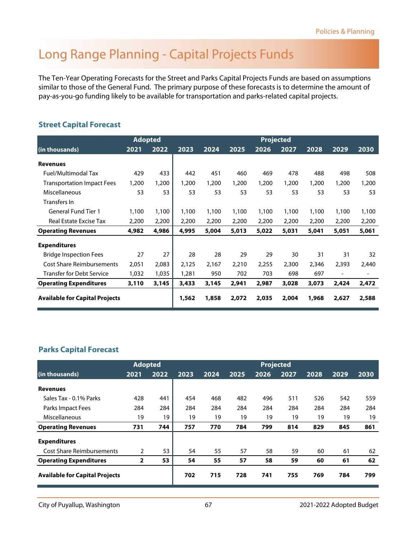### Long Range Planning - Capital Projects Funds

The Ten-Year Operating Forecasts for the Street and Parks Capital Projects Funds are based on assumptions similar to those of the General Fund. The primary purpose of these forecasts is to determine the amount of pay-as-you-go funding likely to be available for transportation and parks-related capital projects.

#### **Street Capital Forecast**

|                                       | <b>Adopted</b> |       |       |       |       | <b>Projected</b> |       |       |                          |       |
|---------------------------------------|----------------|-------|-------|-------|-------|------------------|-------|-------|--------------------------|-------|
| (in thousands)                        | 2021           | 2022  | 2023  | 2024  | 2025  | 2026             | 2027  | 2028  | 2029                     | 2030  |
| <b>Revenues</b>                       |                |       |       |       |       |                  |       |       |                          |       |
| Fuel/Multimodal Tax                   | 429            | 433   | 442   | 451   | 460   | 469              | 478   | 488   | 498                      | 508   |
| <b>Transportation Impact Fees</b>     | 1,200          | 1,200 | 1,200 | 1,200 | 1,200 | 1,200            | 1,200 | 1,200 | 1,200                    | 1,200 |
| Miscellaneous                         | 53             | 53    | 53    | 53    | 53    | 53               | 53    | 53    | 53                       | 53    |
| Transfers In                          |                |       |       |       |       |                  |       |       |                          |       |
| <b>General Fund Tier 1</b>            | 1,100          | 1,100 | 1,100 | 1,100 | 1,100 | 1,100            | 1,100 | 1,100 | 1,100                    | 1,100 |
| Real Estate Excise Tax                | 2,200          | 2,200 | 2,200 | 2,200 | 2,200 | 2,200            | 2,200 | 2,200 | 2,200                    | 2,200 |
| <b>Operating Revenues</b>             | 4,982          | 4,986 | 4,995 | 5,004 | 5,013 | 5,022            | 5,031 | 5,041 | 5,051                    | 5,061 |
| <b>Expenditures</b>                   |                |       |       |       |       |                  |       |       |                          |       |
| <b>Bridge Inspection Fees</b>         | 27             | 27    | 28    | 28    | 29    | 29               | 30    | 31    | 31                       | 32    |
| <b>Cost Share Reimbursements</b>      | 2,051          | 2,083 | 2,125 | 2,167 | 2,210 | 2,255            | 2,300 | 2,346 | 2,393                    | 2,440 |
| <b>Transfer for Debt Service</b>      | 1,032          | 1,035 | 1,281 | 950   | 702   | 703              | 698   | 697   | $\overline{\phantom{a}}$ |       |
| <b>Operating Expenditures</b>         | 3,110          | 3,145 | 3,433 | 3,145 | 2,941 | 2,987            | 3,028 | 3,073 | 2,424                    | 2,472 |
| <b>Available for Capital Projects</b> |                |       | 1,562 | 1,858 | 2,072 | 2,035            | 2,004 | 1,968 | 2,627                    | 2,588 |

#### **Parks Capital Forecast**

|                                       | <b>Adopted</b> |      |      |      |      | <b>Projected</b> |      |      |      |      |
|---------------------------------------|----------------|------|------|------|------|------------------|------|------|------|------|
| (in thousands)                        | 2021           | 2022 | 2023 | 2024 | 2025 | 2026             | 2027 | 2028 | 2029 | 2030 |
| <b>Revenues</b>                       |                |      |      |      |      |                  |      |      |      |      |
| Sales Tax - 0.1% Parks                | 428            | 441  | 454  | 468  | 482  | 496              | 511  | 526  | 542  | 559  |
| Parks Impact Fees                     | 284            | 284  | 284  | 284  | 284  | 284              | 284  | 284  | 284  | 284  |
| Miscellaneous                         | 19             | 19   | 19   | 19   | 19   | 19               | 19   | 19   | 19   | 19   |
| <b>Operating Revenues</b>             | 731            | 744  | 757  | 770  | 784  | 799              | 814  | 829  | 845  | 861  |
| <b>Expenditures</b>                   |                |      |      |      |      |                  |      |      |      |      |
| <b>Cost Share Reimbursements</b>      | 2              | 53   | 54   | 55   | 57   | 58               | 59   | 60   | 61   | 62   |
| <b>Operating Expenditures</b>         | $\overline{2}$ | 53   | 54   | 55   | 57   | 58               | 59   | 60   | 61   | 62   |
| <b>Available for Capital Projects</b> |                |      | 702  | 715  | 728  | 741              | 755  | 769  | 784  | 799  |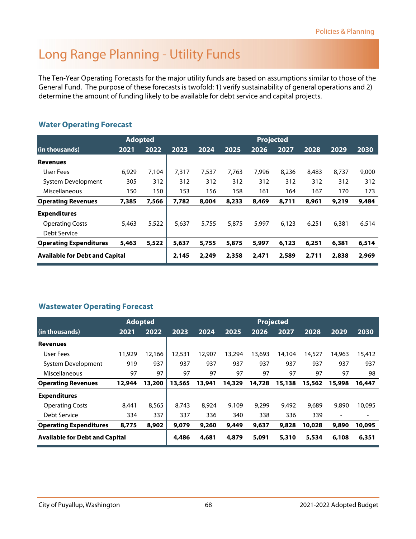### Long Range Planning - Utility Funds

The Ten-Year Operating Forecasts for the major utility funds are based on assumptions similar to those of the General Fund. The purpose of these forecasts is twofold: 1) verify sustainability of general operations and 2) determine the amount of funding likely to be available for debt service and capital projects.

#### **Water Operating Forecast**

|                                       | <b>Adopted</b> |       |       |       |       |       |       |       |       |       |
|---------------------------------------|----------------|-------|-------|-------|-------|-------|-------|-------|-------|-------|
| (in thousands)                        | 2021           | 2022  | 2023  | 2024  | 2025  | 2026  | 2027  | 2028  | 2029  | 2030  |
| <b>Revenues</b>                       |                |       |       |       |       |       |       |       |       |       |
| User Fees                             | 6.929          | 7.104 | 7.317 | 7.537 | 7,763 | 7.996 | 8.236 | 8,483 | 8.737 | 9,000 |
| System Development                    | 305            | 312   | 312   | 312   | 312   | 312   | 312   | 312   | 312   | 312   |
| Miscellaneous                         | 150            | 150   | 153   | 156   | 158   | 161   | 164   | 167   | 170   | 173   |
| <b>Operating Revenues</b>             | 7,385          | 7,566 | 7,782 | 8,004 | 8,233 | 8,469 | 8,711 | 8,961 | 9,219 | 9,484 |
| <b>Expenditures</b>                   |                |       |       |       |       |       |       |       |       |       |
| <b>Operating Costs</b>                | 5,463          | 5,522 | 5.637 | 5.755 | 5,875 | 5,997 | 6.123 | 6.251 | 6.381 | 6,514 |
| Debt Service                          |                |       |       |       |       |       |       |       |       |       |
| <b>Operating Expenditures</b>         | 5,463          | 5,522 | 5,637 | 5,755 | 5,875 | 5,997 | 6,123 | 6,251 | 6,381 | 6,514 |
| <b>Available for Debt and Capital</b> |                |       | 2,145 | 2,249 | 2,358 | 2,471 | 2,589 | 2,711 | 2,838 | 2,969 |

#### **Wastewater Operating Forecast**

|                                       |        | <b>Adopted</b> |        |        |        |        | <b>Projected</b> |        |        |        |
|---------------------------------------|--------|----------------|--------|--------|--------|--------|------------------|--------|--------|--------|
| (in thousands)                        | 2021   | 2022           | 2023   | 2024   | 2025   | 2026   | 2027             | 2028   | 2029   | 2030   |
| <b>Revenues</b>                       |        |                |        |        |        |        |                  |        |        |        |
| User Fees                             | 11,929 | 12,166         | 12,531 | 12,907 | 13,294 | 13,693 | 14,104           | 14,527 | 14,963 | 15,412 |
| System Development                    | 919    | 937            | 937    | 937    | 937    | 937    | 937              | 937    | 937    | 937    |
| Miscellaneous                         | 97     | 97             | 97     | 97     | 97     | 97     | 97               | 97     | 97     | 98     |
| <b>Operating Revenues</b>             | 12,944 | 13,200         | 13,565 | 13,941 | 14,329 | 14,728 | 15,138           | 15,562 | 15,998 | 16,447 |
| <b>Expenditures</b>                   |        |                |        |        |        |        |                  |        |        |        |
| <b>Operating Costs</b>                | 8.441  | 8.565          | 8.743  | 8.924  | 9,109  | 9.299  | 9.492            | 9,689  | 9,890  | 10.095 |
| Debt Service                          | 334    | 337            | 337    | 336    | 340    | 338    | 336              | 339    | -      | -      |
| <b>Operating Expenditures</b>         | 8,775  | 8,902          | 9,079  | 9,260  | 9,449  | 9,637  | 9,828            | 10,028 | 9,890  | 10,095 |
| <b>Available for Debt and Capital</b> |        |                | 4,486  | 4,681  | 4,879  | 5,091  | 5,310            | 5,534  | 6,108  | 6,351  |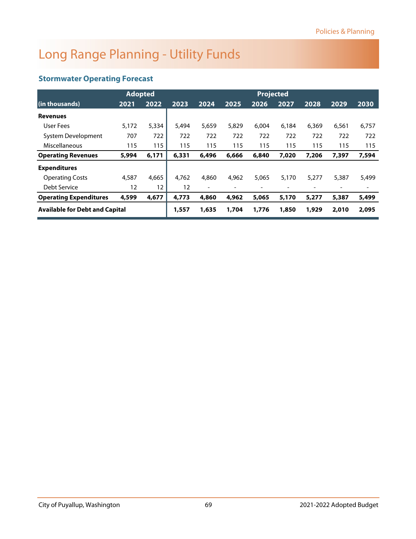### Long Range Planning - Utility Funds

#### **Stormwater Operating Forecast**

|                                       | <b>Adopted</b> |                   |       |                          |       | <b>Projected</b> |       |       |                |       |
|---------------------------------------|----------------|-------------------|-------|--------------------------|-------|------------------|-------|-------|----------------|-------|
| (in thousands)                        | 2021           | 2022              | 2023  | 2024                     | 2025  | 2026             | 2027  | 2028  | 2029           | 2030  |
| <b>Revenues</b>                       |                |                   |       |                          |       |                  |       |       |                |       |
| User Fees                             | 5,172          | 5,334             | 5.494 | 5.659                    | 5,829 | 6.004            | 6,184 | 6.369 | 6,561          | 6,757 |
| System Development                    | 707            | 722               | 722   | 722                      | 722   | 722              | 722   | 722   | 722            | 722   |
| Miscellaneous                         | 115            | 115               | 115   | 115                      | 115   | 115              | 115   | 115   | 115            | 115   |
| <b>Operating Revenues</b>             | 5,994          | 6,171             | 6,331 | 6,496                    | 6,666 | 6,840            | 7,020 | 7,206 | 7,397          | 7,594 |
| <b>Expenditures</b>                   |                |                   |       |                          |       |                  |       |       |                |       |
| <b>Operating Costs</b>                | 4,587          | 4.665             | 4,762 | 4,860                    | 4,962 | 5,065            | 5,170 | 5.277 | 5,387          | 5,499 |
| Debt Service                          | 12             | $12 \overline{ }$ | 12    | $\overline{\phantom{a}}$ |       |                  |       |       | $\overline{a}$ | -     |
| <b>Operating Expenditures</b>         | 4,599          | 4,677             | 4,773 | 4,860                    | 4,962 | 5,065            | 5,170 | 5,277 | 5,387          | 5,499 |
| <b>Available for Debt and Capital</b> |                |                   | 1,557 | 1,635                    | 1,704 | 1,776            | 1,850 | 1,929 | 2,010          | 2,095 |